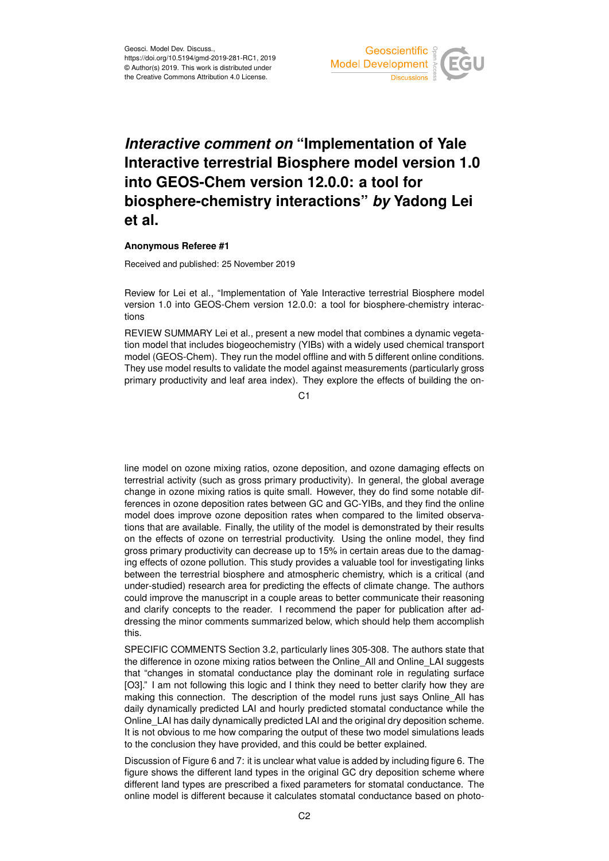

## *Interactive comment on* **"Implementation of Yale Interactive terrestrial Biosphere model version 1.0 into GEOS-Chem version 12.0.0: a tool for biosphere-chemistry interactions"** *by* **Yadong Lei et al.**

## **Anonymous Referee #1**

Received and published: 25 November 2019

Review for Lei et al., "Implementation of Yale Interactive terrestrial Biosphere model version 1.0 into GEOS-Chem version 12.0.0: a tool for biosphere-chemistry interactions

REVIEW SUMMARY Lei et al., present a new model that combines a dynamic vegetation model that includes biogeochemistry (YIBs) with a widely used chemical transport model (GEOS-Chem). They run the model offline and with 5 different online conditions. They use model results to validate the model against measurements (particularly gross primary productivity and leaf area index). They explore the effects of building the on-

 $C<sub>1</sub>$ 

line model on ozone mixing ratios, ozone deposition, and ozone damaging effects on terrestrial activity (such as gross primary productivity). In general, the global average change in ozone mixing ratios is quite small. However, they do find some notable differences in ozone deposition rates between GC and GC-YIBs, and they find the online model does improve ozone deposition rates when compared to the limited observations that are available. Finally, the utility of the model is demonstrated by their results on the effects of ozone on terrestrial productivity. Using the online model, they find gross primary productivity can decrease up to 15% in certain areas due to the damaging effects of ozone pollution. This study provides a valuable tool for investigating links between the terrestrial biosphere and atmospheric chemistry, which is a critical (and under-studied) research area for predicting the effects of climate change. The authors could improve the manuscript in a couple areas to better communicate their reasoning and clarify concepts to the reader. I recommend the paper for publication after addressing the minor comments summarized below, which should help them accomplish this.

SPECIFIC COMMENTS Section 3.2, particularly lines 305-308. The authors state that the difference in ozone mixing ratios between the Online\_All and Online\_LAI suggests that "changes in stomatal conductance play the dominant role in regulating surface [O3]." I am not following this logic and I think they need to better clarify how they are making this connection. The description of the model runs just says Online\_All has daily dynamically predicted LAI and hourly predicted stomatal conductance while the Online LAI has daily dynamically predicted LAI and the original dry deposition scheme. It is not obvious to me how comparing the output of these two model simulations leads to the conclusion they have provided, and this could be better explained.

Discussion of Figure 6 and 7: it is unclear what value is added by including figure 6. The figure shows the different land types in the original GC dry deposition scheme where different land types are prescribed a fixed parameters for stomatal conductance. The online model is different because it calculates stomatal conductance based on photo